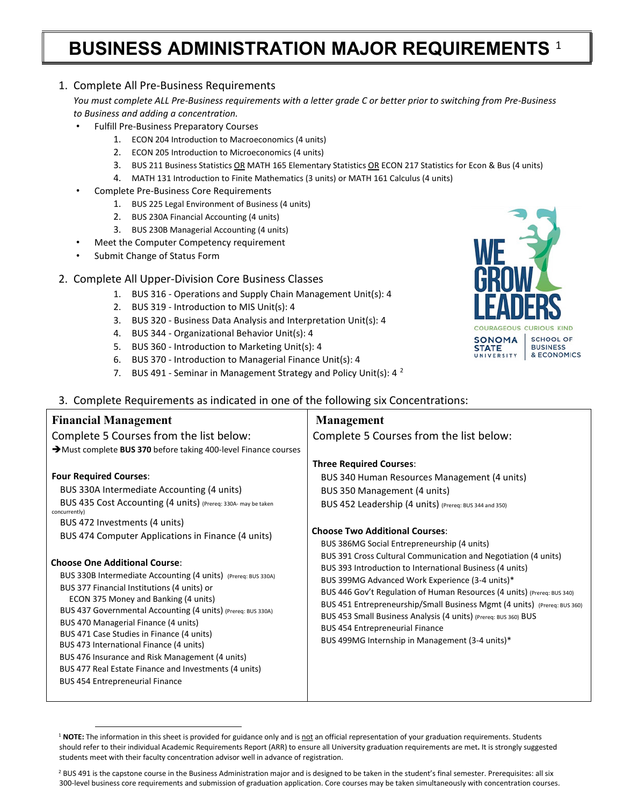## **BUSINESS ADMINISTRATION MAJOR REQUIREMENTS** [1](#page-0-0)

## 1. Complete All Pre-Business Requirements

*You must complete ALL Pre-Business requirements with a letter grade C or better prior to switching from Pre-Business to Business and adding a concentration.*

- Fulfill Pre-Business Preparatory Courses
	- 1. ECON 204 Introduction to Macroeconomics (4 units)
	- 2. ECON 205 Introduction to Microeconomics (4 units)
	- 3. BUS 211 Business Statistics OR MATH 165 Elementary Statistics OR ECON 217 Statistics for Econ & Bus (4 units)
	- 4. MATH 131 Introduction to Finite Mathematics (3 units) or MATH 161 Calculus (4 units)
- Complete Pre-Business Core Requirements
	- 1. BUS 225 Legal Environment of Business (4 units)
	- 2. BUS 230A Financial Accounting (4 units)
	- 3. BUS 230B Managerial Accounting (4 units)
- Meet the Computer Competency requirement
- Submit Change of Status Form

## 2. Complete All Upper-Division Core Business Classes

- 1. BUS 316 Operations and Supply Chain Management Unit(s): 4
- 2. BUS 319 Introduction to MIS Unit(s): 4
- 3. BUS 320 Business Data Analysis and Interpretation Unit(s): 4
- 4. BUS 344 Organizational Behavior Unit(s): 4
- 5. BUS 360 Introduction to Marketing Unit(s): 4
- 6. BUS 370 Introduction to Managerial Finance Unit(s): 4
- 7. BUS 491 Seminar in Management Strategy and Policy Unit(s): 4  $^2$  $^2$
- 3. Complete Requirements as indicated in one of the following six Concentrations:

| <b>Financial Management</b>                                                                                                                                                                                                                                                                                                                                                                                                                                                                                                                                                                                                                                                                                                                                                                                | <b>Management</b>                                                                                                                                                                                                                                                                                                                                                                                                                                                                                                                                                                                                                                                                                                                                                        |
|------------------------------------------------------------------------------------------------------------------------------------------------------------------------------------------------------------------------------------------------------------------------------------------------------------------------------------------------------------------------------------------------------------------------------------------------------------------------------------------------------------------------------------------------------------------------------------------------------------------------------------------------------------------------------------------------------------------------------------------------------------------------------------------------------------|--------------------------------------------------------------------------------------------------------------------------------------------------------------------------------------------------------------------------------------------------------------------------------------------------------------------------------------------------------------------------------------------------------------------------------------------------------------------------------------------------------------------------------------------------------------------------------------------------------------------------------------------------------------------------------------------------------------------------------------------------------------------------|
| Complete 5 Courses from the list below:                                                                                                                                                                                                                                                                                                                                                                                                                                                                                                                                                                                                                                                                                                                                                                    | Complete 5 Courses from the list below:                                                                                                                                                                                                                                                                                                                                                                                                                                                                                                                                                                                                                                                                                                                                  |
| >Must complete BUS 370 before taking 400-level Finance courses                                                                                                                                                                                                                                                                                                                                                                                                                                                                                                                                                                                                                                                                                                                                             |                                                                                                                                                                                                                                                                                                                                                                                                                                                                                                                                                                                                                                                                                                                                                                          |
| <b>Four Required Courses:</b><br>BUS 330A Intermediate Accounting (4 units)<br>BUS 435 Cost Accounting (4 units) (Prereq: 330A- may be taken<br>concurrently)<br>BUS 472 Investments (4 units)<br>BUS 474 Computer Applications in Finance (4 units)<br><b>Choose One Additional Course:</b><br>BUS 330B Intermediate Accounting (4 units) (Prereq: BUS 330A)<br>BUS 377 Financial Institutions (4 units) or<br>ECON 375 Money and Banking (4 units)<br>BUS 437 Governmental Accounting (4 units) (Prereq: BUS 330A)<br>BUS 470 Managerial Finance (4 units)<br>BUS 471 Case Studies in Finance (4 units)<br>BUS 473 International Finance (4 units)<br>BUS 476 Insurance and Risk Management (4 units)<br>BUS 477 Real Estate Finance and Investments (4 units)<br><b>BUS 454 Entrepreneurial Finance</b> | <b>Three Required Courses:</b><br>BUS 340 Human Resources Management (4 units)<br>BUS 350 Management (4 units)<br>BUS 452 Leadership (4 units) (Prereq: BUS 344 and 350)<br><b>Choose Two Additional Courses:</b><br>BUS 386MG Social Entrepreneurship (4 units)<br>BUS 391 Cross Cultural Communication and Negotiation (4 units)<br>BUS 393 Introduction to International Business (4 units)<br>BUS 399MG Advanced Work Experience (3-4 units)*<br>BUS 446 Gov't Regulation of Human Resources (4 units) (Prereq: BUS 340)<br>BUS 451 Entrepreneurship/Small Business Mgmt (4 units) (Prereq: BUS 360)<br>BUS 453 Small Business Analysis (4 units) (Prereq: BUS 360) BUS<br><b>BUS 454 Entrepreneurial Finance</b><br>BUS 499MG Internship in Management (3-4 units)* |
|                                                                                                                                                                                                                                                                                                                                                                                                                                                                                                                                                                                                                                                                                                                                                                                                            |                                                                                                                                                                                                                                                                                                                                                                                                                                                                                                                                                                                                                                                                                                                                                                          |

<span id="page-0-0"></span><sup>&</sup>lt;sup>1</sup> NOTE: The information in this sheet is provided for guidance only and is not an official representation of your graduation requirements. Students should refer to their individual Academic Requirements Report (ARR) to ensure all University graduation requirements are met**.** It is strongly suggested students meet with their faculty concentration advisor well in advance of registration.



<span id="page-0-1"></span><sup>&</sup>lt;sup>2</sup> BUS 491 is the capstone course in the Business Administration major and is designed to be taken in the student's final semester. Prerequisites: all six 300-level business core requirements and submission of graduation application. Core courses may be taken simultaneously with concentration courses.